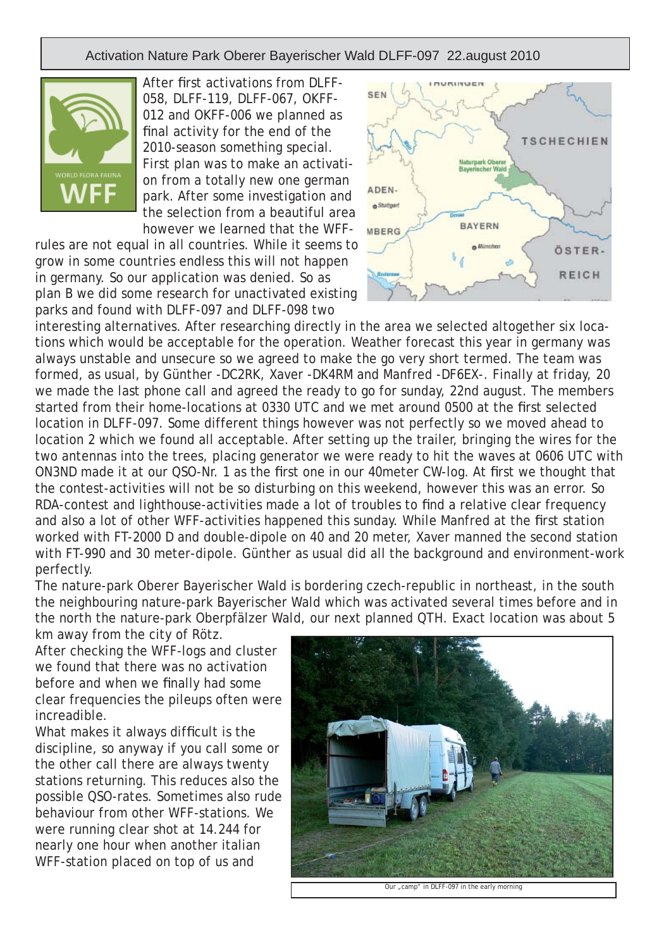Activation Nature Park Oberer Bayerischer Wald DLFF-097 22.august 2010



After first activations from DLFF-058, DLFF-119, DLFF-067, OKFF-012 and OKFF-006 we planned as final activity for the end of the 2010-season something special. First plan was to make an activation from a totally new one german park. After some investigation and the selection from a beautiful area however we learned that the WFF-

rules are not equal in all countries. While it seems to grow in some countries endless this will not happen in germany. So our application was denied. So as plan B we did some research for unactivated existing parks and found with DLFF-097 and DLFF-098 two



interesting alternatives. After researching directly in the area we selected altogether six locations which would be acceptable for the operation. Weather forecast this year in germany was always unstable and unsecure so we agreed to make the go very short termed. The team was formed, as usual, by Günther -DC2RK, Xaver -DK4RM and Manfred -DF6EX-. Finally at friday, 20 we made the last phone call and agreed the ready to go for sunday, 22nd august. The members started from their home-locations at 0330 UTC and we met around 0500 at the first selected location in DLFF-097. Some different things however was not perfectly so we moved ahead to location 2 which we found all acceptable. After setting up the trailer, bringing the wires for the two antennas into the trees, placing generator we were ready to hit the waves at 0606 UTC with ON3ND made it at our QSO-Nr. 1 as the first one in our 40 meter CW-log. At first we thought that the contest-activities will not be so disturbing on this weekend, however this was an error. So RDA-contest and lighthouse-activities made a lot of troubles to find a relative clear frequency and also a lot of other WFF-activities happened this sunday. While Manfred at the first station worked with FT-2000 D and double-dipole on 40 and 20 meter, Xaver manned the second station with FT-990 and 30 meter-dipole. Günther as usual did all the background and environment-work perfectly.

The nature-park Oberer Bayerischer Wald is bordering czech-republic in northeast, in the south the neighbouring nature-park Bayerischer Wald which was activated several times before and in the north the nature-park Oberpfälzer Wald, our next planned QTH. Exact location was about 5 km away from the city of Rötz.

After checking the WFF-logs and cluster we found that there was no activation before and when we finally had some clear frequencies the pileups often were increadible.

What makes it always difficult is the discipline, so anyway if you call some or the other call there are always twenty stations returning. This reduces also the possible QSO-rates. Sometimes also rude behaviour from other WFF-stations. We were running clear shot at 14.244 for nearly one hour when another italian WFF-station placed on top of us and



Our .camp" in DLFF-097 in the early morning